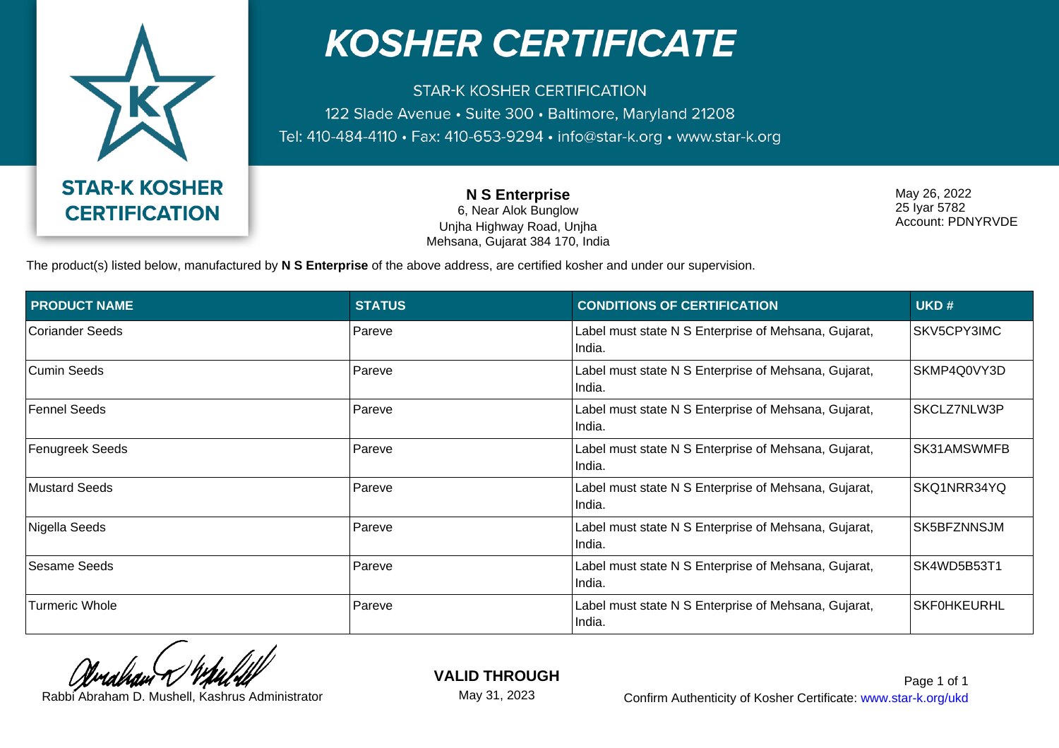

## **KOSHER CERTIFICATE**

**STAR-K KOSHER CERTIFICATION** 122 Slade Avenue · Suite 300 · Baltimore, Maryland 21208 Tel: 410-484-4110 · Fax: 410-653-9294 · info@star-k.org · www.star-k.org

> **N S Enterprise** 6, Near Alok Bunglow Unjha Highway Road, Unjha Mehsana, Gujarat 384 170, India

May 26, 2022 25 Iyar 5782 Account: PDNYRVDE

The product(s) listed below, manufactured by **N S Enterprise** of the above address, are certified kosher and under our supervision.

| <b>PRODUCT NAME</b>   | <b>STATUS</b> | <b>CONDITIONS OF CERTIFICATION</b>                             | UKD#               |
|-----------------------|---------------|----------------------------------------------------------------|--------------------|
| Coriander Seeds       | Pareve        | Label must state N S Enterprise of Mehsana, Gujarat,<br>India. | SKV5CPY3IMC        |
| Cumin Seeds           | Pareve        | Label must state N S Enterprise of Mehsana, Gujarat,<br>India. | SKMP4Q0VY3D        |
| <b>Fennel Seeds</b>   | Pareve        | Label must state N S Enterprise of Mehsana, Gujarat,<br>India. | SKCLZ7NLW3P        |
| Fenugreek Seeds       | Pareve        | Label must state N S Enterprise of Mehsana, Gujarat,<br>India. | SK31AMSWMFB        |
| Mustard Seeds         | Pareve        | Label must state N S Enterprise of Mehsana, Gujarat,<br>India. | SKQ1NRR34YQ        |
| Nigella Seeds         | Pareve        | Label must state N S Enterprise of Mehsana, Gujarat,<br>India. | SK5BFZNNSJM        |
| Sesame Seeds          | Pareve        | Label must state N S Enterprise of Mehsana, Gujarat,<br>India. | SK4WD5B53T1        |
| <b>Turmeric Whole</b> | Pareve        | Label must state N S Enterprise of Mehsana, Gujarat,<br>India. | <b>SKF0HKEURHL</b> |

**VALID THROUGH**